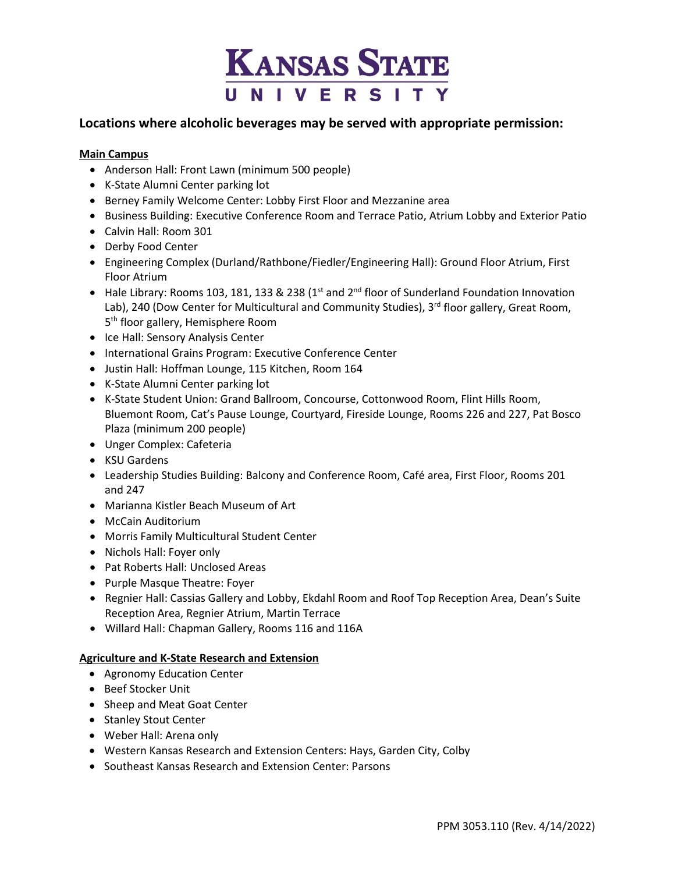

# **Locations where alcoholic beverages may be served with appropriate permission:**

## **Main Campus**

- Anderson Hall: Front Lawn (minimum 500 people)
- K-State Alumni Center parking lot
- Berney Family Welcome Center: Lobby First Floor and Mezzanine area
- Business Building: Executive Conference Room and Terrace Patio, Atrium Lobby and Exterior Patio
- Calvin Hall: Room 301
- Derby Food Center
- Engineering Complex (Durland/Rathbone/Fiedler/Engineering Hall): Ground Floor Atrium, First Floor Atrium
- Hale Library: Rooms 103, 181, 133 & 238 ( $1<sup>st</sup>$  and  $2<sup>nd</sup>$  floor of Sunderland Foundation Innovation Lab), 240 (Dow Center for Multicultural and Community Studies), 3rd floor gallery, Great Room, 5<sup>th</sup> floor gallery, Hemisphere Room
- Ice Hall: Sensory Analysis Center
- International Grains Program: Executive Conference Center
- Justin Hall: Hoffman Lounge, 115 Kitchen, Room 164
- K-State Alumni Center parking lot
- K-State Student Union: Grand Ballroom, Concourse, Cottonwood Room, Flint Hills Room, Bluemont Room, Cat's Pause Lounge, Courtyard, Fireside Lounge, Rooms 226 and 227, Pat Bosco Plaza (minimum 200 people)
- Unger Complex: Cafeteria
- KSU Gardens
- Leadership Studies Building: Balcony and Conference Room, Café area, First Floor, Rooms 201 and 247
- Marianna Kistler Beach Museum of Art
- McCain Auditorium
- Morris Family Multicultural Student Center
- Nichols Hall: Foyer only
- Pat Roberts Hall: Unclosed Areas
- Purple Masque Theatre: Foyer
- Regnier Hall: Cassias Gallery and Lobby, Ekdahl Room and Roof Top Reception Area, Dean's Suite Reception Area, Regnier Atrium, Martin Terrace
- Willard Hall: Chapman Gallery, Rooms 116 and 116A

#### **Agriculture and K-State Research and Extension**

- Agronomy Education Center
- Beef Stocker Unit
- Sheep and Meat Goat Center
- Stanley Stout Center
- Weber Hall: Arena only
- Western Kansas Research and Extension Centers: Hays, Garden City, Colby
- Southeast Kansas Research and Extension Center: Parsons